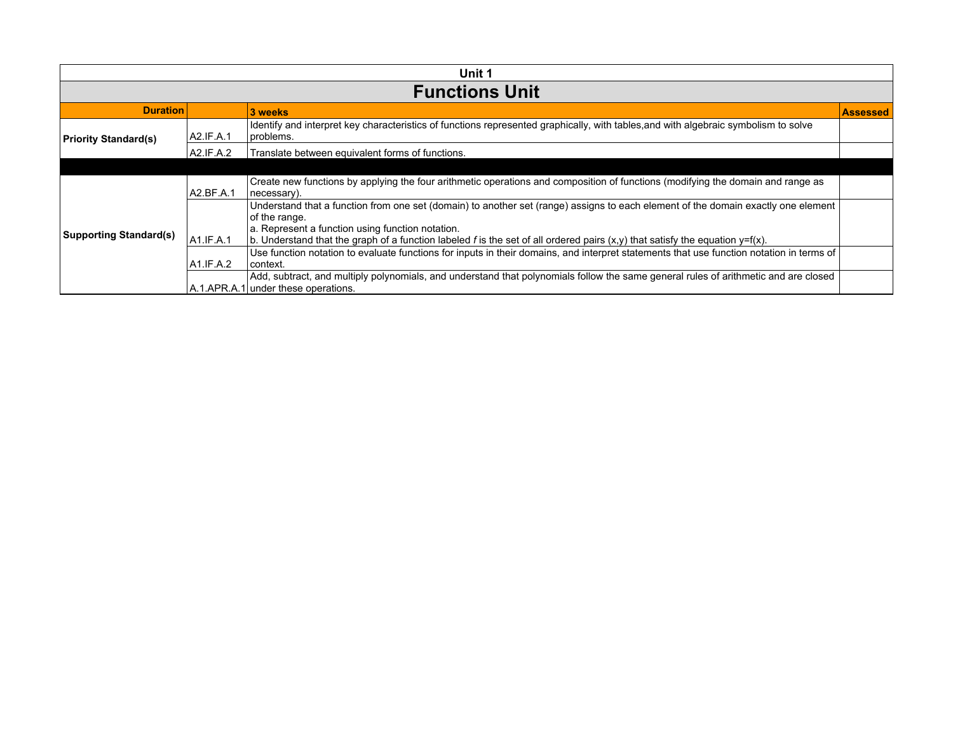| Unit 1                        |           |                                                                                                                                                                                       |                 |  |
|-------------------------------|-----------|---------------------------------------------------------------------------------------------------------------------------------------------------------------------------------------|-----------------|--|
| <b>Functions Unit</b>         |           |                                                                                                                                                                                       |                 |  |
| <b>Duration</b>               |           | 3 weeks                                                                                                                                                                               | <b>Assessed</b> |  |
| <b>Priority Standard(s)</b>   | A2.IF.A.1 | Identify and interpret key characteristics of functions represented graphically, with tables, and with algebraic symbolism to solve<br>problems.                                      |                 |  |
|                               | A2.IF.A.2 | Translate between equivalent forms of functions.                                                                                                                                      |                 |  |
|                               |           |                                                                                                                                                                                       |                 |  |
|                               | A2.BF.A.1 | Create new functions by applying the four arithmetic operations and composition of functions (modifying the domain and range as<br>necessary).                                        |                 |  |
|                               |           | Understand that a function from one set (domain) to another set (range) assigns to each element of the domain exactly one element<br>of the range.                                    |                 |  |
| <b>Supporting Standard(s)</b> | A1.IF.A.1 | a. Represent a function using function notation.<br>b. Understand that the graph of a function labeled f is the set of all ordered pairs $(x,y)$ that satisfy the equation $y=f(x)$ . |                 |  |
|                               | A1.IF.A.2 | Use function notation to evaluate functions for inputs in their domains, and interpret statements that use function notation in terms of<br>l context.                                |                 |  |
|                               |           | Add, subtract, and multiply polynomials, and understand that polynomials follow the same general rules of arithmetic and are closed<br>A.1.APR.A.1 under these operations.            |                 |  |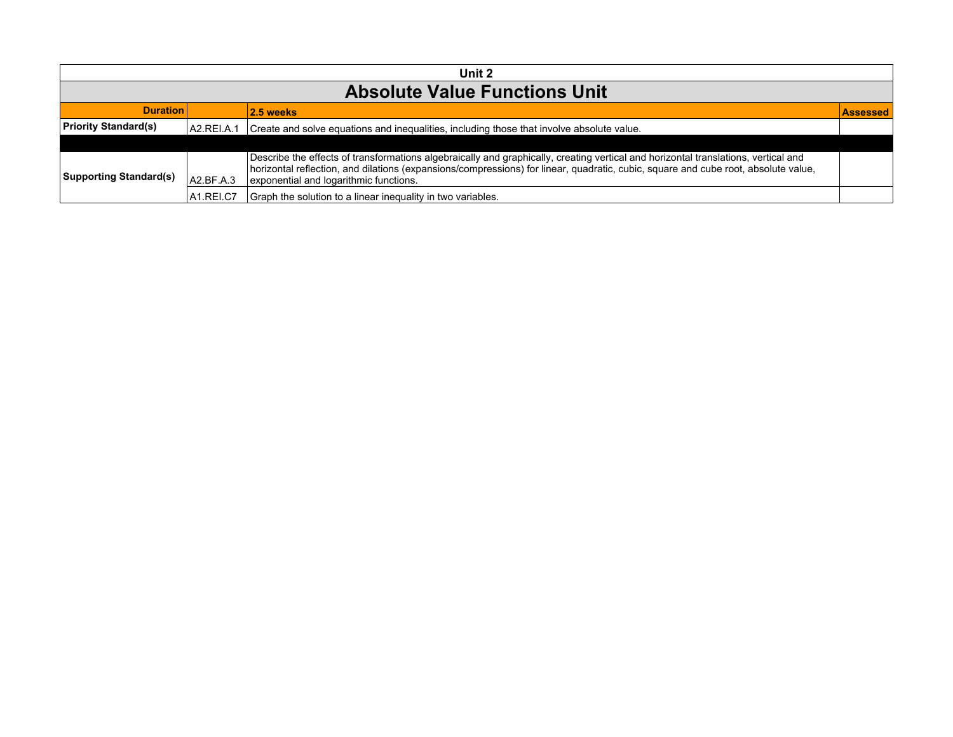| Unit 2                               |                                                    |                                                                                                                                                                                                                                                                                                                    |  |  |
|--------------------------------------|----------------------------------------------------|--------------------------------------------------------------------------------------------------------------------------------------------------------------------------------------------------------------------------------------------------------------------------------------------------------------------|--|--|
| <b>Absolute Value Functions Unit</b> |                                                    |                                                                                                                                                                                                                                                                                                                    |  |  |
|                                      | <b>Duration</b><br>$ 2.5$ weeks<br><b>Assessed</b> |                                                                                                                                                                                                                                                                                                                    |  |  |
| <b>Priority Standard(s)</b>          | A2.REI.A.1                                         | Create and solve equations and inequalities, including those that involve absolute value.                                                                                                                                                                                                                          |  |  |
|                                      |                                                    |                                                                                                                                                                                                                                                                                                                    |  |  |
| Supporting Standard(s)               | A2.BF.A.3                                          | Describe the effects of transformations algebraically and graphically, creating vertical and horizontal translations, vertical and<br>horizontal reflection, and dilations (expansions/compressions) for linear, quadratic, cubic, square and cube root, absolute value,<br>exponential and logarithmic functions. |  |  |
|                                      | IA1.REI.C7                                         | Graph the solution to a linear inequality in two variables.                                                                                                                                                                                                                                                        |  |  |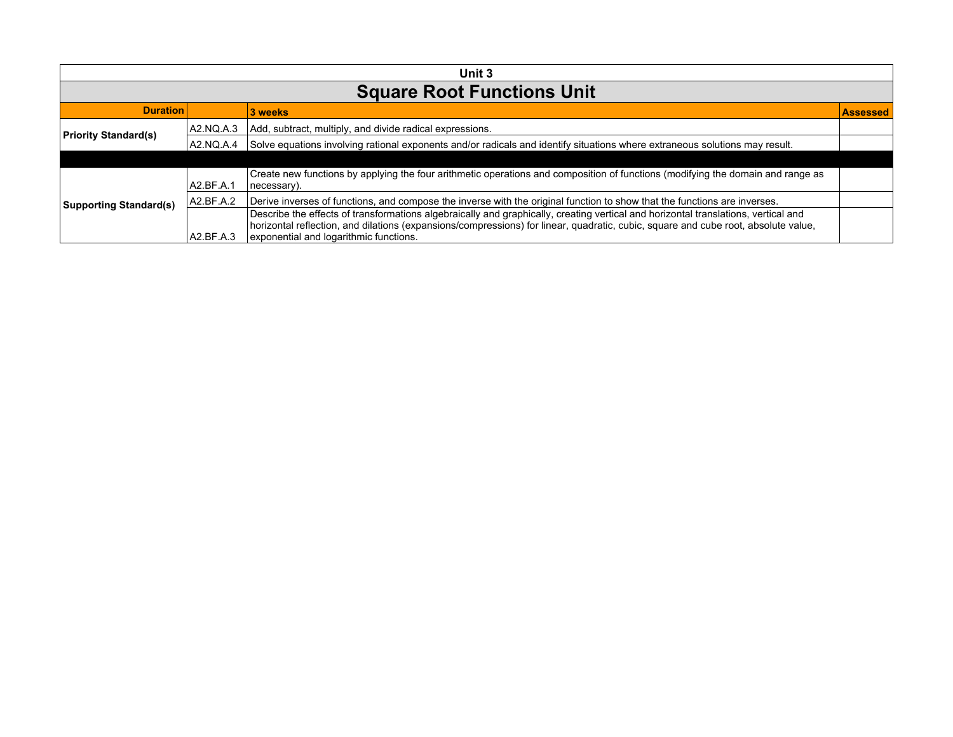| Unit 3                        |                                               |                                                                                                                                                                                                                                                                                                                    |  |  |  |
|-------------------------------|-----------------------------------------------|--------------------------------------------------------------------------------------------------------------------------------------------------------------------------------------------------------------------------------------------------------------------------------------------------------------------|--|--|--|
|                               | <b>Square Root Functions Unit</b>             |                                                                                                                                                                                                                                                                                                                    |  |  |  |
|                               | <b>Duration</b><br>3 weeks<br><b>Assessed</b> |                                                                                                                                                                                                                                                                                                                    |  |  |  |
| <b>Priority Standard(s)</b>   | A2.NQ.A.3                                     | Add, subtract, multiply, and divide radical expressions.                                                                                                                                                                                                                                                           |  |  |  |
|                               | A2.NQ.A.4                                     | Solve equations involving rational exponents and/or radicals and identify situations where extraneous solutions may result.                                                                                                                                                                                        |  |  |  |
|                               |                                               |                                                                                                                                                                                                                                                                                                                    |  |  |  |
| <b>Supporting Standard(s)</b> | A2.BF.A.1                                     | Create new functions by applying the four arithmetic operations and composition of functions (modifying the domain and range as<br>(necessary).                                                                                                                                                                    |  |  |  |
|                               | A2.BF.A.2                                     | Derive inverses of functions, and compose the inverse with the original function to show that the functions are inverses.                                                                                                                                                                                          |  |  |  |
|                               | A2.BF.A.3                                     | Describe the effects of transformations algebraically and graphically, creating vertical and horizontal translations, vertical and<br>horizontal reflection, and dilations (expansions/compressions) for linear, quadratic, cubic, square and cube root, absolute value,<br>exponential and logarithmic functions. |  |  |  |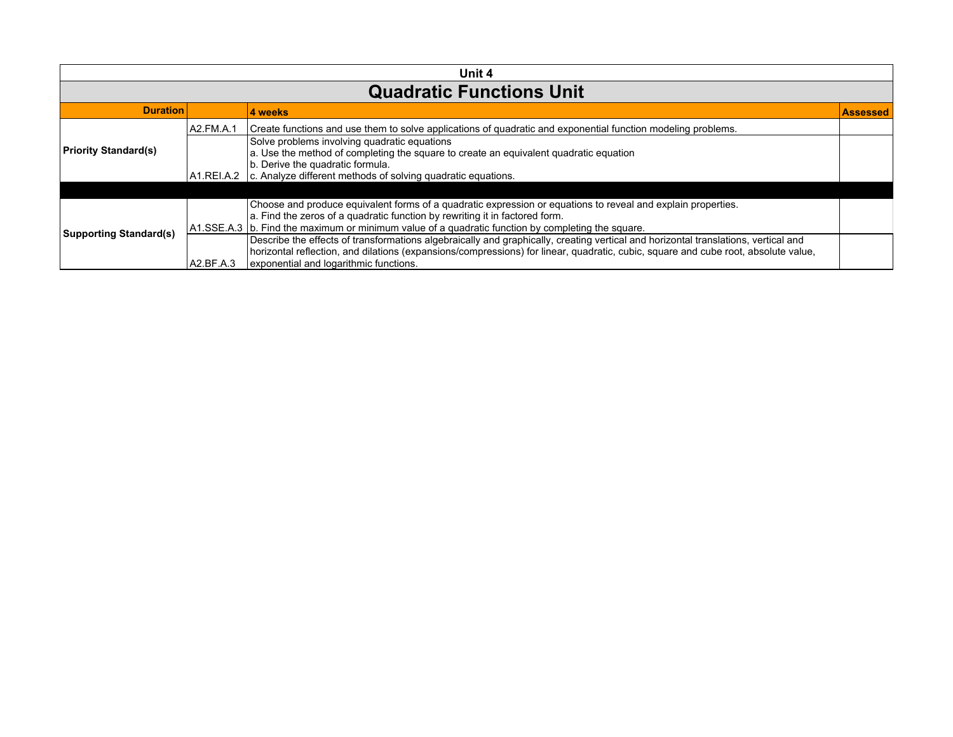| Unit 4                          |           |                                                                                                                                                                                                                                                                                                                    |                 |
|---------------------------------|-----------|--------------------------------------------------------------------------------------------------------------------------------------------------------------------------------------------------------------------------------------------------------------------------------------------------------------------|-----------------|
| <b>Quadratic Functions Unit</b> |           |                                                                                                                                                                                                                                                                                                                    |                 |
| <b>Duration</b>                 |           | 4 weeks                                                                                                                                                                                                                                                                                                            | <b>Assessed</b> |
|                                 | A2.FM.A.1 | Create functions and use them to solve applications of quadratic and exponential function modeling problems.                                                                                                                                                                                                       |                 |
| <b>Priority Standard(s)</b>     |           | Solve problems involving quadratic equations<br>a. Use the method of completing the square to create an equivalent quadratic equation<br>b. Derive the quadratic formula.                                                                                                                                          |                 |
|                                 |           | $A1.REI.A.2$ $\vert$ c. Analyze different methods of solving quadratic equations.                                                                                                                                                                                                                                  |                 |
|                                 |           |                                                                                                                                                                                                                                                                                                                    |                 |
| <b>Supporting Standard(s)</b>   |           | Choose and produce equivalent forms of a quadratic expression or equations to reveal and explain properties.<br>a. Find the zeros of a quadratic function by rewriting it in factored form.<br>$\vert$ A1.SSE.A.3 $\vert$ b. Find the maximum or minimum value of a quadratic function by completing the square.   |                 |
|                                 | A2.BF.A.3 | Describe the effects of transformations algebraically and graphically, creating vertical and horizontal translations, vertical and<br>horizontal reflection, and dilations (expansions/compressions) for linear, quadratic, cubic, square and cube root, absolute value,<br>exponential and logarithmic functions. |                 |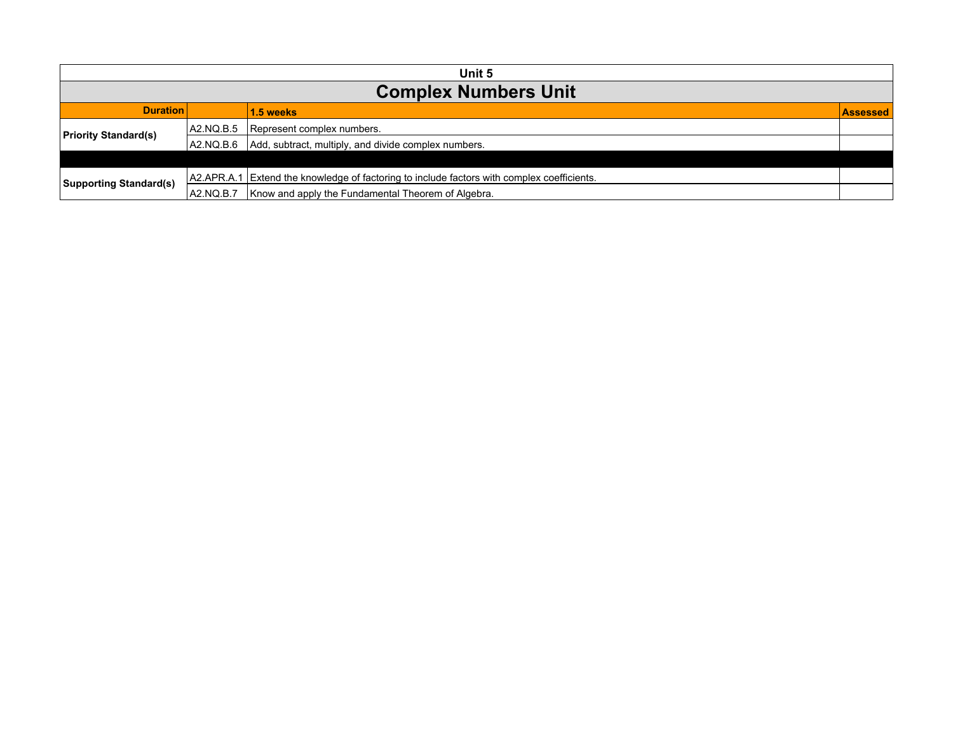| Unit 5                        |                                                 |                                                                                            |  |  |
|-------------------------------|-------------------------------------------------|--------------------------------------------------------------------------------------------|--|--|
| <b>Complex Numbers Unit</b>   |                                                 |                                                                                            |  |  |
|                               | <b>Duration</b><br>1.5 weeks<br><b>Assessed</b> |                                                                                            |  |  |
| <b>Priority Standard(s)</b>   | A2.NQ.B.5                                       | Represent complex numbers.                                                                 |  |  |
|                               | IA2.NQ.B.6                                      | Add, subtract, multiply, and divide complex numbers.                                       |  |  |
|                               |                                                 |                                                                                            |  |  |
| <b>Supporting Standard(s)</b> |                                                 | A2.APR.A.1 Extend the knowledge of factoring to include factors with complex coefficients. |  |  |
|                               | A2.NQ.B.7                                       | Know and apply the Fundamental Theorem of Algebra.                                         |  |  |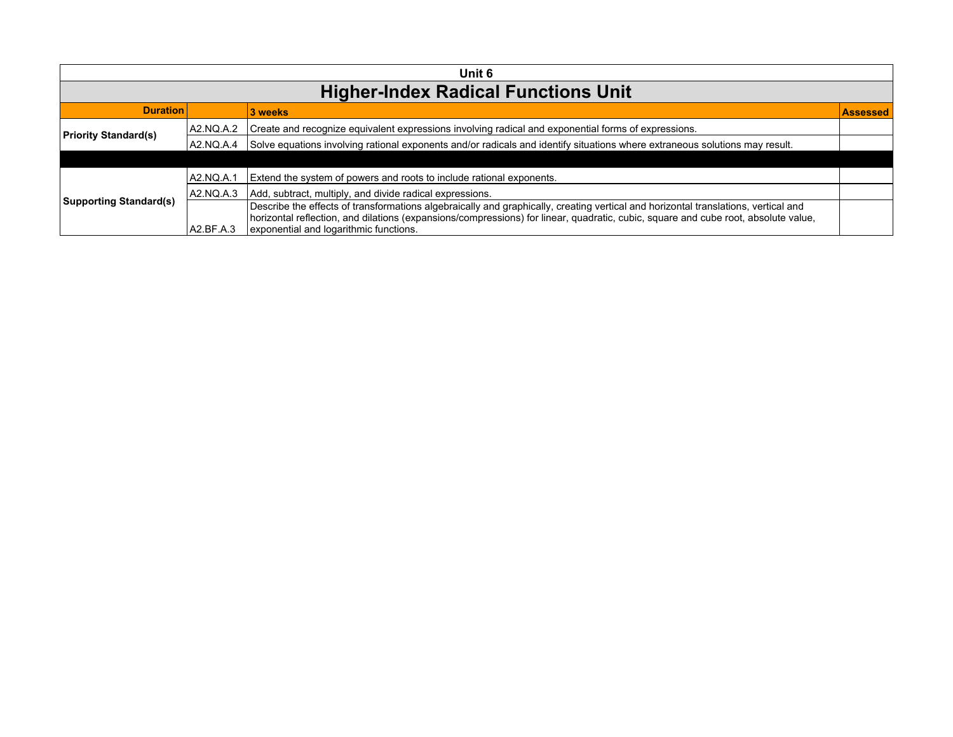| Unit 6                                     |                            |                                                                                                                                                                                                                                                                          |  |  |  |
|--------------------------------------------|----------------------------|--------------------------------------------------------------------------------------------------------------------------------------------------------------------------------------------------------------------------------------------------------------------------|--|--|--|
| <b>Higher-Index Radical Functions Unit</b> |                            |                                                                                                                                                                                                                                                                          |  |  |  |
| <b>Duration</b>                            | 3 weeks<br><b>Assessed</b> |                                                                                                                                                                                                                                                                          |  |  |  |
| <b>Priority Standard(s)</b>                | A2.NQ.A.2                  | Create and recognize equivalent expressions involving radical and exponential forms of expressions.                                                                                                                                                                      |  |  |  |
|                                            | A2.NQ.A.4                  | Solve equations involving rational exponents and/or radicals and identify situations where extraneous solutions may result.                                                                                                                                              |  |  |  |
|                                            |                            |                                                                                                                                                                                                                                                                          |  |  |  |
| <b>Supporting Standard(s)</b>              | A2.NQ.A.1                  | Extend the system of powers and roots to include rational exponents.                                                                                                                                                                                                     |  |  |  |
|                                            | A2.NQ.A.3                  | Add, subtract, multiply, and divide radical expressions.                                                                                                                                                                                                                 |  |  |  |
|                                            |                            | Describe the effects of transformations algebraically and graphically, creating vertical and horizontal translations, vertical and<br>horizontal reflection, and dilations (expansions/compressions) for linear, quadratic, cubic, square and cube root, absolute value, |  |  |  |
|                                            | A2.BF.A.3                  | exponential and logarithmic functions.                                                                                                                                                                                                                                   |  |  |  |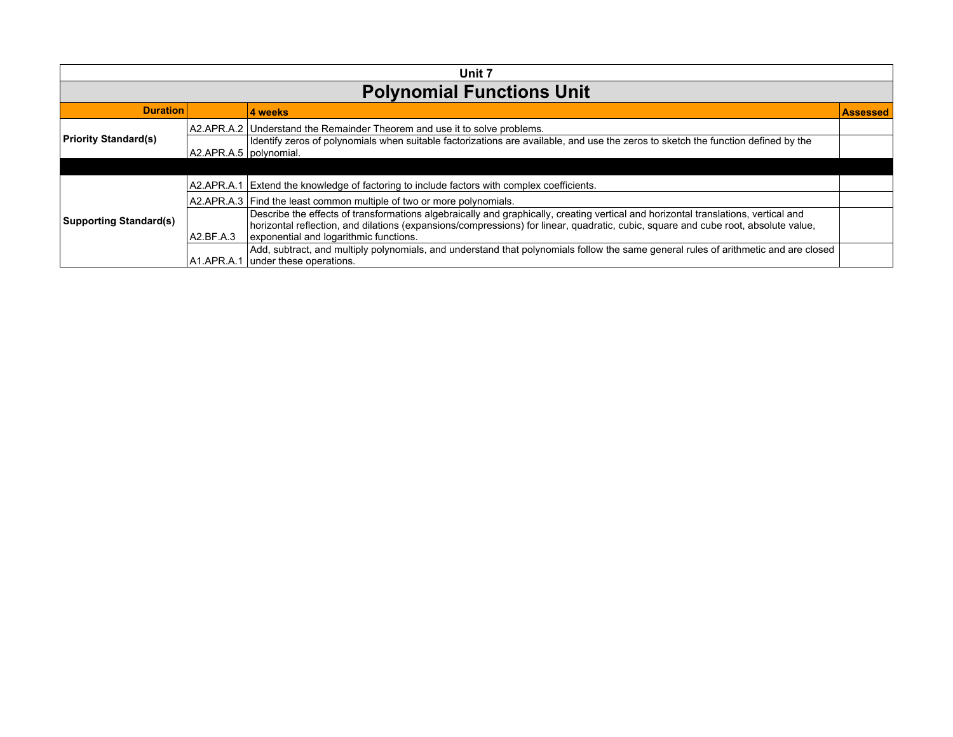| Unit 7                           |                          |                                                                                                                                                                                                                                                                                                                    |                 |  |
|----------------------------------|--------------------------|--------------------------------------------------------------------------------------------------------------------------------------------------------------------------------------------------------------------------------------------------------------------------------------------------------------------|-----------------|--|
| <b>Polynomial Functions Unit</b> |                          |                                                                                                                                                                                                                                                                                                                    |                 |  |
| <b>Duration</b>                  |                          | 4 weeks                                                                                                                                                                                                                                                                                                            | <b>Assessed</b> |  |
|                                  |                          | A2.APR.A.2 Understand the Remainder Theorem and use it to solve problems.                                                                                                                                                                                                                                          |                 |  |
| <b>Priority Standard(s)</b>      | A2.APR.A.5   polynomial. | dentify zeros of polynomials when suitable factorizations are available, and use the zeros to sketch the function defined by the                                                                                                                                                                                   |                 |  |
|                                  |                          |                                                                                                                                                                                                                                                                                                                    |                 |  |
|                                  | A2.APR.A.1               | Extend the knowledge of factoring to include factors with complex coefficients.                                                                                                                                                                                                                                    |                 |  |
|                                  |                          | A2.APR.A.3 Find the least common multiple of two or more polynomials.                                                                                                                                                                                                                                              |                 |  |
| <b>Supporting Standard(s)</b>    | A2.BF.A.3                | Describe the effects of transformations algebraically and graphically, creating vertical and horizontal translations, vertical and<br>horizontal reflection, and dilations (expansions/compressions) for linear, quadratic, cubic, square and cube root, absolute value,<br>exponential and logarithmic functions. |                 |  |
|                                  | IA1.APR.A.1              | Add, subtract, and multiply polynomials, and understand that polynomials follow the same general rules of arithmetic and are closed<br>under these operations.                                                                                                                                                     |                 |  |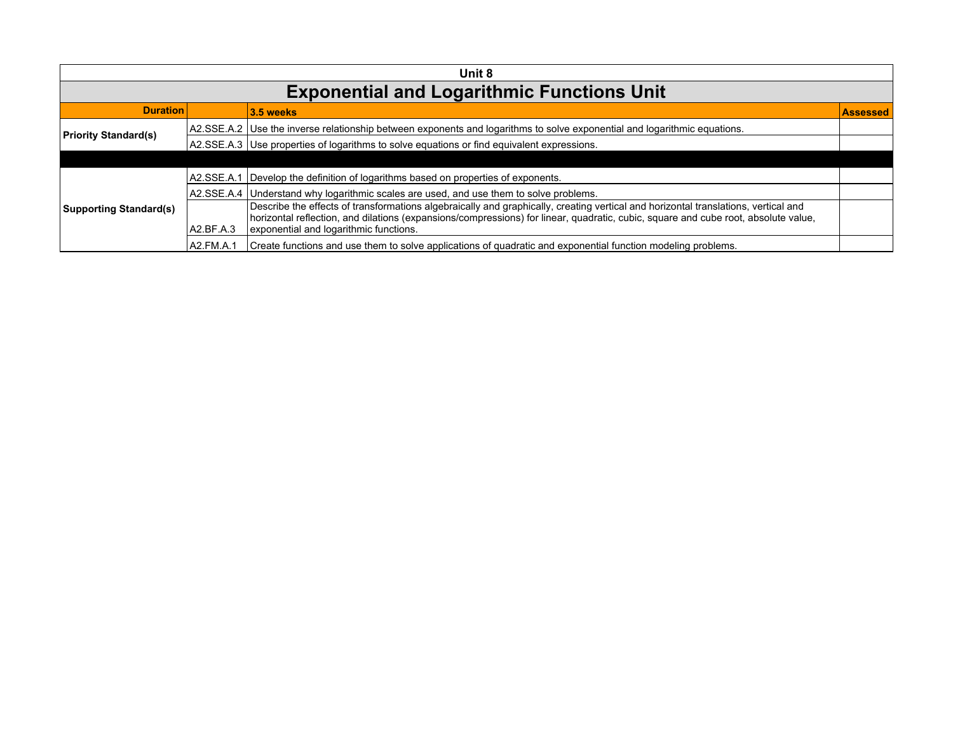| Unit 8                        |                                                   |                                                                                                                                                                              |  |  |  |
|-------------------------------|---------------------------------------------------|------------------------------------------------------------------------------------------------------------------------------------------------------------------------------|--|--|--|
|                               | <b>Exponential and Logarithmic Functions Unit</b> |                                                                                                                                                                              |  |  |  |
| <b>Duration</b>               | 3.5 weeks<br>Assessed                             |                                                                                                                                                                              |  |  |  |
| <b>Priority Standard(s)</b>   |                                                   | A2.SSE.A.2   Use the inverse relationship between exponents and logarithms to solve exponential and logarithmic equations.                                                   |  |  |  |
|                               |                                                   | A2.SSE.A.3 Use properties of logarithms to solve equations or find equivalent expressions.                                                                                   |  |  |  |
|                               |                                                   |                                                                                                                                                                              |  |  |  |
|                               |                                                   | A2.SSE.A.1 Develop the definition of logarithms based on properties of exponents.                                                                                            |  |  |  |
|                               |                                                   | A2.SSE.A.4 Understand why logarithmic scales are used, and use them to solve problems.                                                                                       |  |  |  |
| <b>Supporting Standard(s)</b> |                                                   | Describe the effects of transformations algebraically and graphically, creating vertical and horizontal translations, vertical and                                           |  |  |  |
|                               | A2.BF.A.3                                         | horizontal reflection, and dilations (expansions/compressions) for linear, quadratic, cubic, square and cube root, absolute value,<br>exponential and logarithmic functions. |  |  |  |
|                               | A2.FM.A.1                                         | Create functions and use them to solve applications of quadratic and exponential function modeling problems.                                                                 |  |  |  |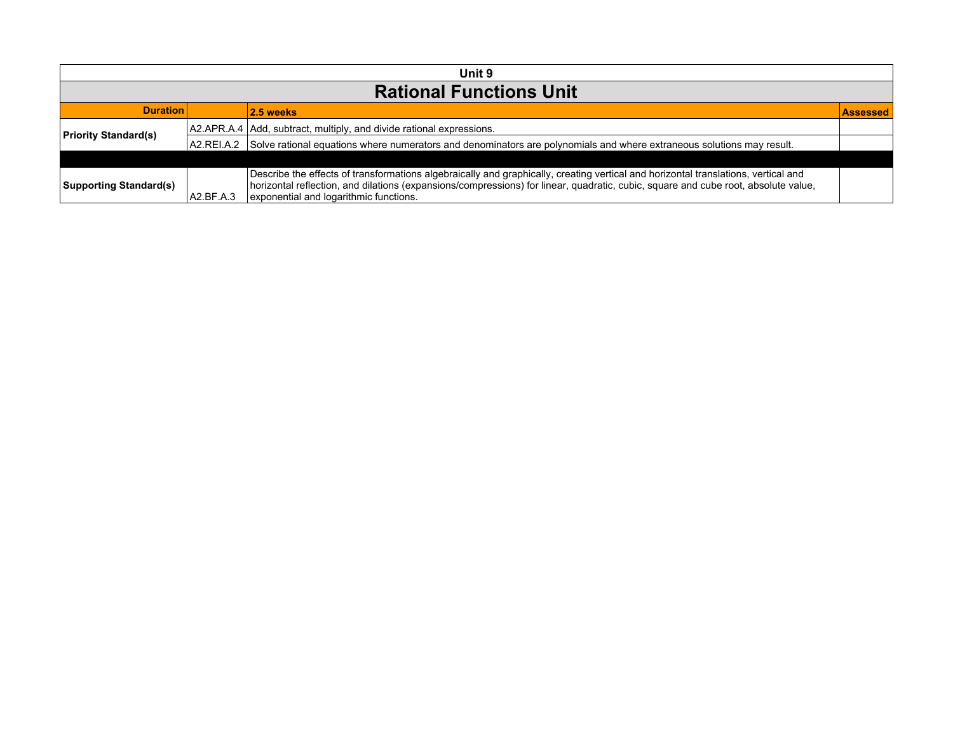| Unit 9                         |                                                    |                                                                                                                                                                                                                                                                                                                    |  |  |
|--------------------------------|----------------------------------------------------|--------------------------------------------------------------------------------------------------------------------------------------------------------------------------------------------------------------------------------------------------------------------------------------------------------------------|--|--|
| <b>Rational Functions Unit</b> |                                                    |                                                                                                                                                                                                                                                                                                                    |  |  |
|                                | <b>Duration</b><br>$ 2.5$ weeks<br><b>Assessed</b> |                                                                                                                                                                                                                                                                                                                    |  |  |
| <b>Priority Standard(s)</b>    |                                                    | A2.APR.A.4 Add, subtract, multiply, and divide rational expressions.                                                                                                                                                                                                                                               |  |  |
|                                | IA2.REI.A.2                                        | Solve rational equations where numerators and denominators are polynomials and where extraneous solutions may result.                                                                                                                                                                                              |  |  |
|                                |                                                    |                                                                                                                                                                                                                                                                                                                    |  |  |
| <b>Supporting Standard(s)</b>  | A2.BF.A.3                                          | Describe the effects of transformations algebraically and graphically, creating vertical and horizontal translations, vertical and<br>horizontal reflection, and dilations (expansions/compressions) for linear, quadratic, cubic, square and cube root, absolute value,<br>exponential and logarithmic functions. |  |  |